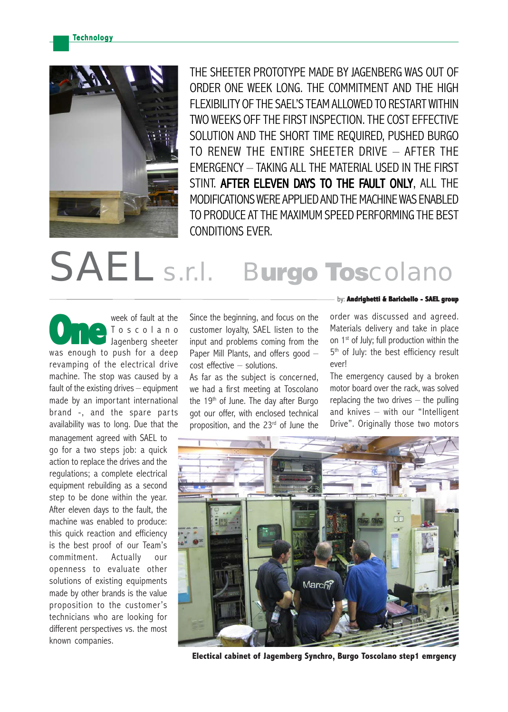**Technology** 



THE SHEETER PROTOTYPE MADE BY JAGENBERG WAS OUT OF ORDER ONE WEEK LONG. THE COMMITMENT AND THE HIGH FLEXIBILITY OF THE SAFL'S TEAM ALLOWED TO RESTART WITHIN TWO WEEKS OFF THE FIRST INSPECTION. THE COST EFFECTIVE SOLUTION AND THE SHORT TIME REQUIRED, PUSHED BURGO TO RENEW THE ENTIRE SHEETER DRIVE – AFTER THE EMERGENCY – TAKING ALL THE MATERIAL USED IN THE FIRST STINT. AFTER ELEVEN DAYS TO THE FAULT ONLY. ALL THE MODIFICATIONS WERE APPLIED AND THE MACHINE WAS ENABLED TO PRODUCE AT THE MAXIMUM SPEED PERFORMING THE BEST CONDITIONS EVER.

## SAEL s.r.l. Burgo Toscolano

week of fault at the Toscolano Jagenberg sheeter Week of fault at the<br> **One of the Unit of the Unit of the Unit of the Unit of the Unit of the Unit of the Unit of the Unit of the Unit<br>
Unit of the Unit of the Unit of the Unit of the Unit of the Unit<br>
Unit of the Unit of** revamping of the electrical drive machine. The stop was caused by a fault of the existing drives – equipment made by an important international brand -, and the spare parts availability was to long. Due that the

management agreed with SAEL to go for a two steps job: a quick action to replace the drives and the regulations; a complete electrical equipment rebuilding as a second step to be done within the year. After eleven days to the fault, the machine was enabled to produce: this quick reaction and efficiency is the best proof of our Team's commitment. Actually our openness to evaluate other solutions of existing equipments made by other brands is the value proposition to the customer's technicians who are looking for different perspectives vs. the most known companies.

Since the beginning, and focus on the customer loyalty, SAEL listen to the input and problems coming from the Paper Mill Plants, and offers good cost effective – solutions.

As far as the subject is concerned, we had a first meeting at Toscolano the 19<sup>th</sup> of June. The day after Burgo got our offer, with enclosed technical proposition, and the 23<sup>rd</sup> of June the

## by: **Andrighetti & Barichello - SAEL group**

order was discussed and agreed. Materials delivery and take in place on 1<sup>st</sup> of July; full production within the 5<sup>th</sup> of July: the best efficiency result ever!

The emergency caused by a broken motor board over the rack, was solved replacing the two drives  $-$  the pulling and knives – with our "Intelligent Drive". Originally those two motors



**Electical cabinet of Jagemberg Synchro, Burgo Toscolano step1 emrgency**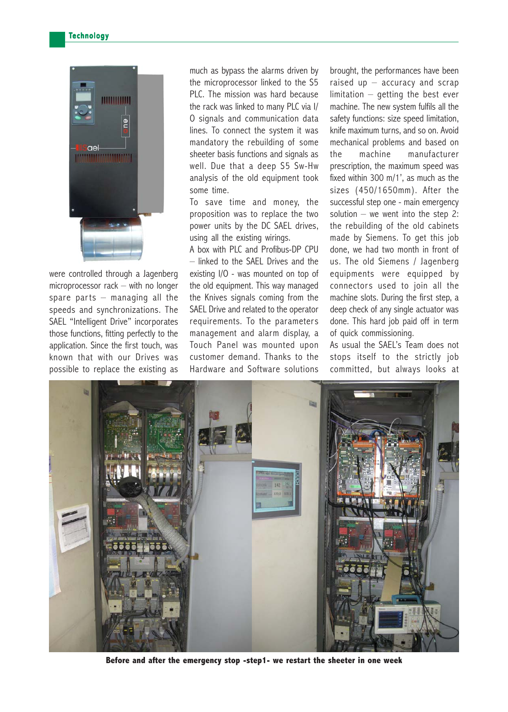

were controlled through a Jagenberg microprocessor rack – with no longer spare parts  $-$  managing all the speeds and synchronizations. The SAEL "Intelligent Drive" incorporates those functions, fitting perfectly to the application. Since the first touch, was known that with our Drives was possible to replace the existing as

much as bypass the alarms driven by the microprocessor linked to the S5 PLC. The mission was hard because the rack was linked to many PLC via I/ O signals and communication data lines. To connect the system it was mandatory the rebuilding of some sheeter basis functions and signals as well. Due that a deep S5 Sw-Hw analysis of the old equipment took some time.

To save time and money, the proposition was to replace the two power units by the DC SAEL drives, using all the existing wirings.

A box with PLC and Profibus-DP CPU – linked to the SAEL Drives and the existing I/O - was mounted on top of the old equipment. This way managed the Knives signals coming from the SAEL Drive and related to the operator requirements. To the parameters management and alarm display, a Touch Panel was mounted upon customer demand. Thanks to the Hardware and Software solutions brought, the performances have been raised up – accuracy and scrap limitation – getting the best ever machine. The new system fulfils all the safety functions: size speed limitation, knife maximum turns, and so on. Avoid mechanical problems and based on the machine manufacturer prescription, the maximum speed was fixed within 300 m/1', as much as the sizes (450/1650mm). After the successful step one - main emergency solution – we went into the step 2: the rebuilding of the old cabinets made by Siemens. To get this job done, we had two month in front of us. The old Siemens / Jagenberg equipments were equipped by connectors used to join all the machine slots. During the first step, a deep check of any single actuator was done. This hard job paid off in term of quick commissioning.

As usual the SAEL's Team does not stops itself to the strictly job committed, but always looks at



**Before and after the emergency stop -step1- we restart the sheeter in one week**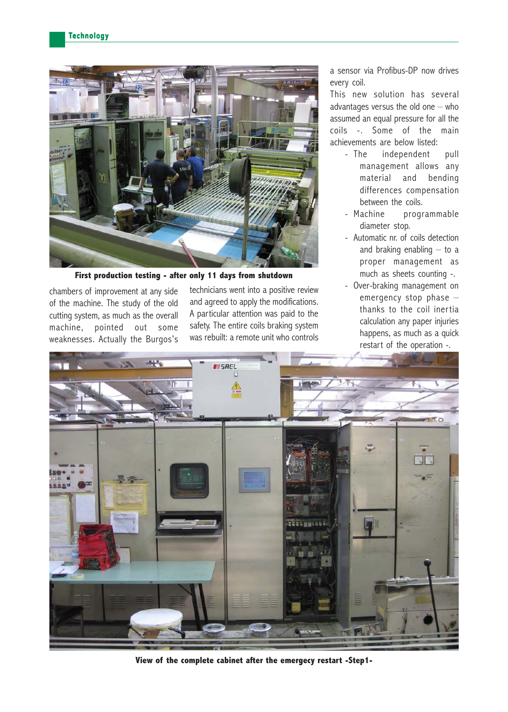

**First production testing - after only 11 days from shutdown**

chambers of improvement at any side of the machine. The study of the old cutting system, as much as the overall machine, pointed out some weaknesses. Actually the Burgos's

technicians went into a positive review and agreed to apply the modifications. A particular attention was paid to the safety. The entire coils braking system was rebuilt: a remote unit who controls

a sensor via Profibus-DP now drives every coil.

This new solution has several advantages versus the old one  $-$  who assumed an equal pressure for all the coils -. Some of the main achievements are below listed:

- The independent pull management allows any material and bending differences compensation between the coils.
- Machine programmable diameter stop.
- Automatic nr. of coils detection and braking enabling  $-$  to a proper management as much as sheets counting -.
- Over-braking management on emergency stop phase – thanks to the coil inertia calculation any paper injuries happens, as much as a quick restart of the operation -.



**View of the complete cabinet after the emergecy restart -Step1-**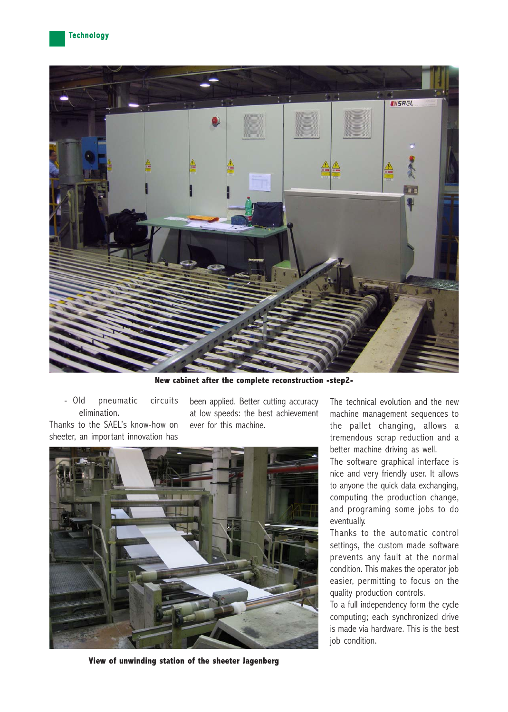

**New cabinet after the complete reconstruction -step2-**

- Old pneumatic circuits elimination. Thanks to the SAEL's know-how on

sheeter, an important innovation has

been applied. Better cutting accuracy at low speeds: the best achievement ever for this machine.



The technical evolution and the new machine management sequences to the pallet changing, allows a tremendous scrap reduction and a better machine driving as well.

The software graphical interface is nice and very friendly user. It allows to anyone the quick data exchanging, computing the production change, and programing some jobs to do eventually.

Thanks to the automatic control settings, the custom made software prevents any fault at the normal condition. This makes the operator job easier, permitting to focus on the quality production controls.

To a full independency form the cycle computing; each synchronized drive is made via hardware. This is the best job condition.

**View of unwinding station of the sheeter Jagenberg**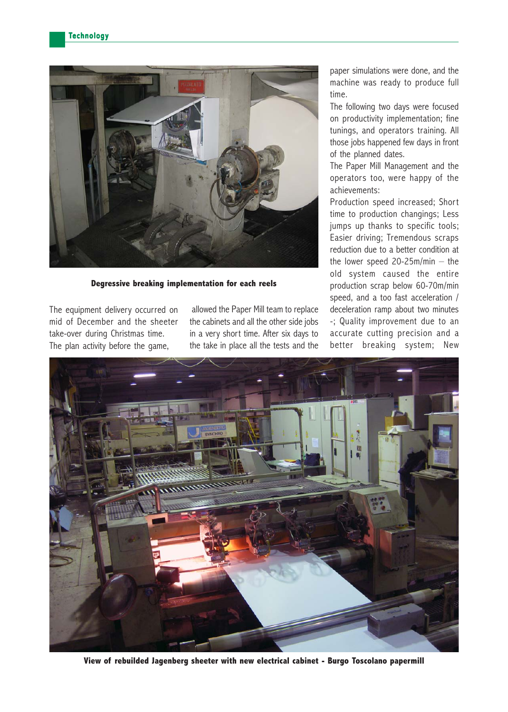

**Degressive breaking implementation for each reels**

The equipment delivery occurred on mid of December and the sheeter take-over during Christmas time. The plan activity before the game,

 allowed the Paper Mill team to replace the cabinets and all the other side jobs in a very short time. After six days to the take in place all the tests and the paper simulations were done, and the machine was ready to produce full time.

The following two days were focused on productivity implementation; fine tunings, and operators training. All those jobs happened few days in front of the planned dates.

The Paper Mill Management and the operators too, were happy of the achievements:

Production speed increased; Short time to production changings; Less jumps up thanks to specific tools; Easier driving; Tremendous scraps reduction due to a better condition at the lower speed 20-25m/min – the old system caused the entire production scrap below 60-70m/min speed, and a too fast acceleration / deceleration ramp about two minutes -; Quality improvement due to an accurate cutting precision and a better breaking system; New



**View of rebuilded Jagenberg sheeter with new electrical cabinet - Burgo Toscolano papermill**